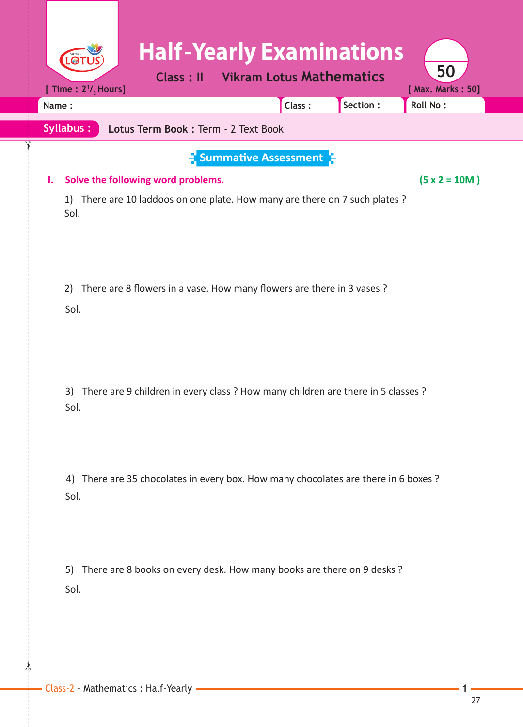| <b>Class: II</b><br>[ Time : $2^{1}/2$ , Hours]                                                | <b>Half-Yearly Examinations</b><br><b>Vikram Lotus Mathematics</b> |           | 50<br>[ Max. Marks: 50] |
|------------------------------------------------------------------------------------------------|--------------------------------------------------------------------|-----------|-------------------------|
| Name:                                                                                          | Class:                                                             | Section : | <b>Roll No:</b>         |
| <b>Syllabus:</b><br>Lotus Term Book: Term - 2 Text Book                                        |                                                                    |           |                         |
|                                                                                                | $\frac{1}{2}$ Summative Assessment $\frac{1}{2}$                   |           |                         |
| Solve the following word problems.<br>ı.                                                       |                                                                    |           | $(5 x 2 = 10M)$         |
| There are 10 laddoos on one plate. How many are there on 7 such plates ?<br>1)<br>Sol.         |                                                                    |           |                         |
| There are 8 flowers in a vase. How many flowers are there in 3 vases ?<br>2)<br>Sol.           |                                                                    |           |                         |
| There are 9 children in every class ? How many children are there in 5 classes ?<br>3)<br>Sol. |                                                                    |           |                         |
| 4) There are 35 chocolates in every box. How many chocolates are there in 6 boxes ?<br>Sol.    |                                                                    |           |                         |
| 5) There are 8 books on every desk. How many books are there on 9 desks ?<br>Sol.              |                                                                    |           |                         |
| - Class-2 - Mathematics : Half-Yearly -                                                        |                                                                    |           |                         |

 $\frac{1}{2}$ 

✁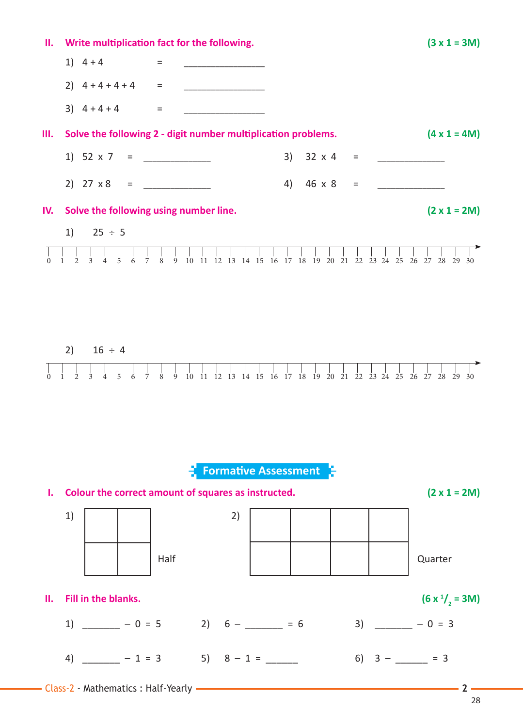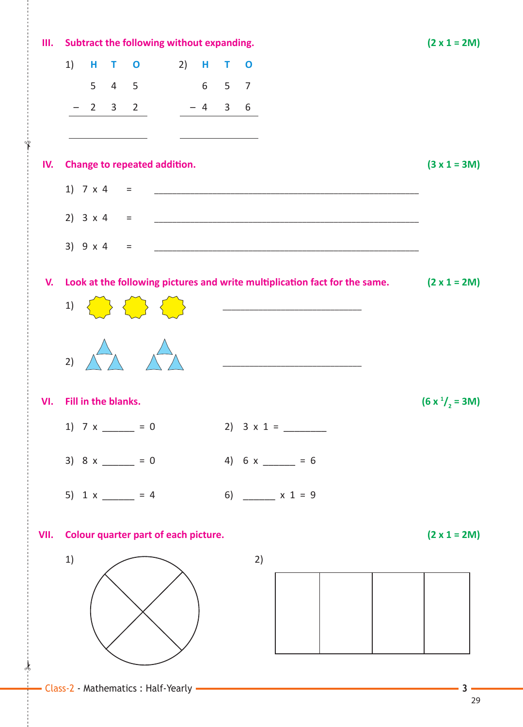

Class-2 - Mathematics : Half-Yearly **3**

29